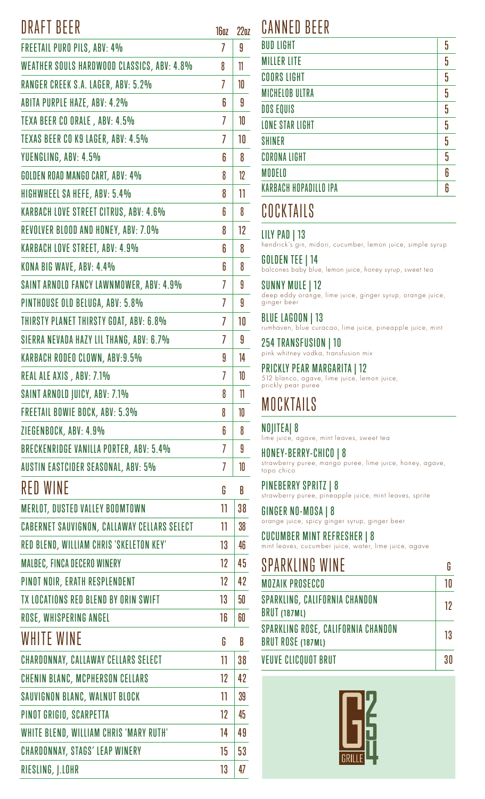### DRAFT BEER

| DINAI I DLLIN                                      | Iboz           | ZZO |
|----------------------------------------------------|----------------|-----|
| <b>FREETAIL PURO PILS, ABV: 4%</b>                 | 7              | 9   |
| <b>WEATHER SOULS HARDWOOD CLASSICS, ABV: 4.8%</b>  | 8              | 11  |
| RANGER CREEK S.A. LAGER, ABV: 5.2%                 | 7              | 10  |
| <b>ABITA PURPLE HAZE, ABV: 4.2%</b>                | 6              | 9   |
| TEXA BEER CO ORALE, ABV: 4.5%                      | 7              | 10  |
| TEXAS BEER CO K9 LAGER, ABV: 4.5%                  | 7              | 10  |
| YUENGLING, ABV: 4.5%                               | 6              | 8   |
| GOLDEN ROAD MANGO CART, ABV: 4%                    | 8              | 12  |
| HIGHWHEEL SA HEFE, ABV: 5.4%                       | 8              | 11  |
| <b>KARBACH LOVE STREET CITRUS, ABV: 4.6%</b>       | 6              | 8   |
| REVOLVER BLOOD AND HONEY, ABV: 7.0%                | 8              | 12  |
| <b>KARBACH LOVE STREET, ABV: 4.9%</b>              | 6              | 8   |
| KONA BIG WAVE, ABV: 4.4%                           | 6              | 8   |
| SAINT ARNOLD FANCY LAWNMOWER, ABV: 4.9%            | 7              | 9   |
| PINTHOUSE OLD BELUGA, ABV: 5.8%                    | 7              | 9   |
| THIRSTY PLANET THIRSTY GOAT, ABV: 6.8%             | 7              | 10  |
| SIERRA NEVADA HAZY LIL THANG, ABV: 6.7%            | 7              | 9   |
| <b>KARBACH RODEO CLOWN, ABV:9.5%</b>               | 9              | 14  |
| REAL ALE AXIS, ABV: 7.1%                           | 7              | 10  |
| <b>SAINT ARNOLD JUICY, ABV: 7.1%</b>               | 8              | 11  |
| <b>FREETAIL BOWIE BOCK, ABV: 5.3%</b>              | 8              | 10  |
| ZIEGENBOCK, ABV: 4.9%                              | 6              | 8   |
| <b>BRECKENRIDGE VANILLA PORTER, ABV: 5.4%</b>      | 7              | 9   |
| <b>AUSTIN EASTCIDER SEASONAL, ABV: 5%</b>          | $\overline{1}$ | 10  |
| <b>RED WINE</b>                                    | G              | B   |
| <b>MERLOT, DUSTED VALLEY BOOMTOWN</b>              | 11             | 38  |
| <b>CABERNET SAUVIGNON, CALLAWAY CELLARS SELECT</b> | 11             | 38  |
| RED BLEND, WILLIAM CHRIS 'SKELETON KEY'            | 13             | 46  |
| <b>MALBEC, FINCA DECERO WINERY</b>                 | 12             | 45  |
| PINOT NOIR, ERATH RESPLENDENT                      | 12             | 42  |
| TX LOCATIONS RED BLEND BY ORIN SWIFT               | 13             | 50  |
| ROSE, WHISPERING ANGEL                             | 16             | 60  |
| <b>WHITE WINE</b>                                  | G              | B   |
| <b>CHARDONNAY, CALLAWAY CELLARS SELECT</b>         | 11             | 38  |
| <b>CHENIN BLANC, MCPHERSON CELLARS</b>             | 12             | 42  |
| <b>SAUVIGNON BLANC, WALNUT BLOCK</b>               | 11             | 39  |
| PINOT GRIGIO, SCARPETTA                            | 12             | 45  |
| WHITE BLEND, WILLIAM CHRIS 'MARY RUTH'             | 14             | 49  |
| <b>CHARDONNAY, STAGS' LEAP WINERY</b>              | 15             | 53  |
| RIESLING, J.LOHR                                   | 13             | 47  |

# 16oz 22oz CANNED BEER

| <b>BUD LIGHT</b>             |   |
|------------------------------|---|
|                              | 5 |
| <b>MILLER LITE</b>           | 5 |
| <b>COORS LIGHT</b>           | 5 |
| <b>MICHELOB ULTRA</b>        | 5 |
| <b>DOS EQUIS</b>             | 5 |
| <b>LONE STAR LIGHT</b>       | 5 |
| <b>SHINER</b>                | 5 |
| <b>CORONA LIGHT</b>          | 5 |
| <b>MODELO</b>                | 6 |
| <b>KARBACH HOPADILLO IPA</b> | ĥ |

### **COCKTAILS**

LILY PAD | 13

### hendrick's gin, midori, cucumber, lemon juice, simple syrup

balcones baby blue, lemon juice, honey syrup, sweet tea GOLDEN TEE | 14

deep eddy orange, lime juice, ginger syrup, orange juice, ginger beer SUNNY MULE | 12

rumhaven, blue curacao, lime juice, pineapple juice, mint BLUE LAGOON | 13

pink whitney vodka, transfusion mix 254 TRANSFUSION | 10

512 blanco, agave, lime juice, lemon juice, prickly pear puree PRICKLY PEAR MARGARITA | 12

# **MOCKTAILS**

#### NOJITEA| 8

lime juice, agave, mint leaves, sweet tea

strawberry puree, mango puree, lime juice, honey, agave, topo chico HONEY-BERRY-CHICO | 8

PINEBERRY SPRITZ | 8

strawberry puree, pineapple juice, mint leaves, sprite

orange juice, spicy ginger syrup, ginger beer GINGER NO-MOSA | 8

### CUCUMBER MINT REFRESHER | 8

mint leaves, cucumber juice, water, lime juice, agave

| <b>SPARKLING WINE</b>                                          |    |
|----------------------------------------------------------------|----|
| <b>MOZAIK PROSECCO</b>                                         | 10 |
| <b>SPARKLING, CALIFORNIA CHANDON</b><br><b>BRUT (187ML)</b>    | 12 |
| <b>SPARKLING ROSE, CALIFORNIA CHANDON</b><br>BRUT ROSE (187ML) | 13 |
| <b>VEUVE CLICQUOT BRUT</b>                                     | 30 |